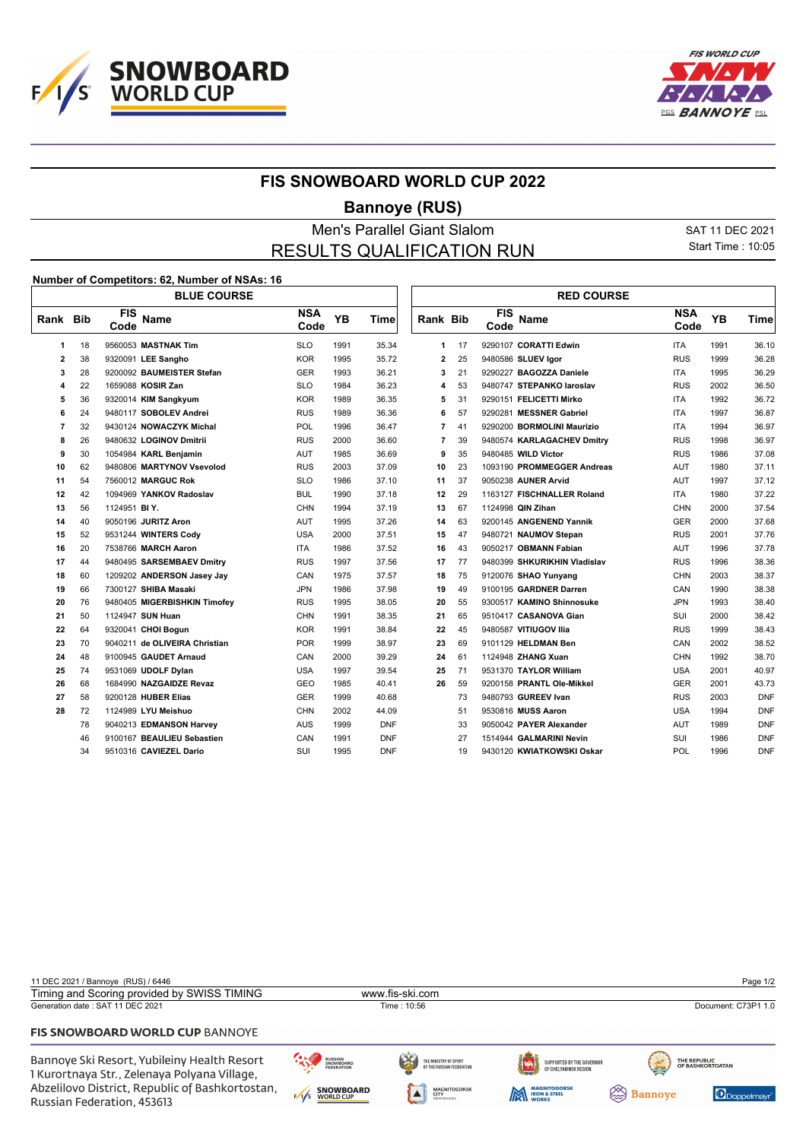



## **FIS SNOWBOARD WORLD CUP 2022**

## **Bannoye (RUS)**

## Men's Parallel Giant Slalom SAT 11 DEC 2021 RESULTS QUALIFICATION RUN

 $\mathbb{L}$ 

Start Time : 10:05

## **Number of Competitors: 62, Number of NSAs: 16**  $\overline{1}$

|                |    | <b>BLUE COURSE</b>            |                    |      |             |                |    |                    | <b>RED COURSE</b>            |                    |           |             |
|----------------|----|-------------------------------|--------------------|------|-------------|----------------|----|--------------------|------------------------------|--------------------|-----------|-------------|
| Rank Bib       |    | <b>FIS</b><br>Name<br>Code    | <b>NSA</b><br>Code | YB   | <b>Time</b> | Rank Bib       |    | <b>FIS</b><br>Code | <b>Name</b>                  | <b>NSA</b><br>Code | <b>YB</b> | <b>Time</b> |
| 1              | 18 | 9560053 MASTNAK Tim           | <b>SLO</b>         | 1991 | 35.34       | 1              | 17 |                    | 9290107 CORATTI Edwin        | <b>ITA</b>         | 1991      | 36.10       |
| $\overline{2}$ | 38 | 9320091 LEE Sangho            | <b>KOR</b>         | 1995 | 35.72       | 2              | 25 |                    | 9480586 SLUEV Igor           | <b>RUS</b>         | 1999      | 36.28       |
| 3              | 28 | 9200092 BAUMEISTER Stefan     | <b>GER</b>         | 1993 | 36.21       | 3              | 21 |                    | 9290227 BAGOZZA Daniele      | <b>ITA</b>         | 1995      | 36.29       |
| 4              | 22 | 1659088 KOSIR Zan             | <b>SLO</b>         | 1984 | 36.23       | 4              | 53 |                    | 9480747 STEPANKO laroslav    | <b>RUS</b>         | 2002      | 36.50       |
| 5              | 36 | 9320014 KIM Sangkyum          | <b>KOR</b>         | 1989 | 36.35       | 5              | 31 |                    | 9290151 FELICETTI Mirko      | <b>ITA</b>         | 1992      | 36.72       |
| 6              | 24 | 9480117 SOBOLEV Andrei        | <b>RUS</b>         | 1989 | 36.36       | 6              | 57 |                    | 9290281 MESSNER Gabriel      | <b>ITA</b>         | 1997      | 36.87       |
| 7              | 32 | 9430124 NOWACZYK Michal       | <b>POL</b>         | 1996 | 36.47       | 7              | 41 |                    | 9290200 BORMOLINI Maurizio   | <b>ITA</b>         | 1994      | 36.97       |
| 8              | 26 | 9480632 LOGINOV Dmitrii       | <b>RUS</b>         | 2000 | 36.60       | $\overline{7}$ | 39 |                    | 9480574 KARLAGACHEV Dmitry   | <b>RUS</b>         | 1998      | 36.97       |
| 9              | 30 | 1054984 KARL Benjamin         | <b>AUT</b>         | 1985 | 36.69       | 9              | 35 |                    | 9480485 WILD Victor          | <b>RUS</b>         | 1986      | 37.08       |
| 10             | 62 | 9480806 MARTYNOV Vsevolod     | <b>RUS</b>         | 2003 | 37.09       | 10             | 23 |                    | 1093190 PROMMEGGER Andreas   | <b>AUT</b>         | 1980      | 37.11       |
| 11             | 54 | 7560012 MARGUC Rok            | <b>SLO</b>         | 1986 | 37.10       | 11             | 37 |                    | 9050238 AUNER Arvid          | <b>AUT</b>         | 1997      | 37.12       |
| 12             | 42 | 1094969 YANKOV Radoslav       | <b>BUL</b>         | 1990 | 37.18       | 12             | 29 |                    | 1163127 FISCHNALLER Roland   | <b>ITA</b>         | 1980      | 37.22       |
| 13             | 56 | 1124951 BIY.                  | <b>CHN</b>         | 1994 | 37.19       | 13             | 67 |                    | 1124998 QIN Zihan            | <b>CHN</b>         | 2000      | 37.54       |
| 14             | 40 | 9050196 JURITZ Aron           | AUT                | 1995 | 37.26       | 14             | 63 |                    | 9200145 ANGENEND Yannik      | <b>GER</b>         | 2000      | 37.68       |
| 15             | 52 | 9531244 WINTERS Cody          | <b>USA</b>         | 2000 | 37.51       | 15             | 47 |                    | 9480721 NAUMOV Stepan        | <b>RUS</b>         | 2001      | 37.76       |
| 16             | 20 | 7538766 MARCH Aaron           | <b>ITA</b>         | 1986 | 37.52       | 16             | 43 |                    | 9050217 OBMANN Fabian        | AUT                | 1996      | 37.78       |
| 17             | 44 | 9480495 SARSEMBAEV Dmitry     | <b>RUS</b>         | 1997 | 37.56       | 17             | 77 |                    | 9480399 SHKURIKHIN Vladislav | <b>RUS</b>         | 1996      | 38.36       |
| 18             | 60 | 1209202 ANDERSON Jasey Jay    | CAN                | 1975 | 37.57       | 18             | 75 |                    | 9120076 SHAO Yunyang         | <b>CHN</b>         | 2003      | 38.37       |
| 19             | 66 | 7300127 SHIBA Masaki          | <b>JPN</b>         | 1986 | 37.98       | 19             | 49 |                    | 9100195 GARDNER Darren       | CAN                | 1990      | 38.38       |
| 20             | 76 | 9480405 MIGERBISHKIN Timofey  | <b>RUS</b>         | 1995 | 38.05       | 20             | 55 |                    | 9300517 KAMINO Shinnosuke    | <b>JPN</b>         | 1993      | 38.40       |
| 21             | 50 | 1124947 SUN Huan              | <b>CHN</b>         | 1991 | 38.35       | 21             | 65 |                    | 9510417 CASANOVA Gian        | SUI                | 2000      | 38.42       |
| 22             | 64 | 9320041 CHOI Bogun            | <b>KOR</b>         | 1991 | 38.84       | 22             | 45 |                    | 9480587 VITIUGOV IIIa        | <b>RUS</b>         | 1999      | 38.43       |
| 23             | 70 | 9040211 de OLIVEIRA Christian | <b>POR</b>         | 1999 | 38.97       | 23             | 69 |                    | 9101129 HELDMAN Ben          | CAN                | 2002      | 38.52       |
| 24             | 48 | 9100945 GAUDET Arnaud         | CAN                | 2000 | 39.29       | 24             | 61 |                    | 1124948 ZHANG Xuan           | CHN                | 1992      | 38.70       |
| 25             | 74 | 9531069 UDOLF Dylan           | <b>USA</b>         | 1997 | 39.54       | 25             | 71 |                    | 9531370 TAYLOR William       | <b>USA</b>         | 2001      | 40.97       |
| 26             | 68 | 1684990 NAZGAIDZE Revaz       | GEO                | 1985 | 40.41       | 26             | 59 |                    | 9200158 PRANTL Ole-Mikkel    | <b>GER</b>         | 2001      | 43.73       |
| 27             | 58 | 9200128 HUBER Elias           | <b>GER</b>         | 1999 | 40.68       |                | 73 |                    | 9480793 GUREEV Ivan          | <b>RUS</b>         | 2003      | <b>DNF</b>  |
| 28             | 72 | 1124989 LYU Meishuo           | <b>CHN</b>         | 2002 | 44.09       |                | 51 |                    | 9530816 MUSS Aaron           | <b>USA</b>         | 1994      | <b>DNF</b>  |
|                | 78 | 9040213 EDMANSON Harvey       | <b>AUS</b>         | 1999 | <b>DNF</b>  |                | 33 |                    | 9050042 PAYER Alexander      | <b>AUT</b>         | 1989      | <b>DNF</b>  |
|                | 46 | 9100167 BEAULIEU Sebastien    | CAN                | 1991 | <b>DNF</b>  |                | 27 |                    | 1514944 GALMARINI Nevin      | SUI                | 1986      | <b>DNF</b>  |
|                | 34 | 9510316 CAVIEZEL Dario        | SUI                | 1995 | <b>DNF</b>  |                | 19 |                    | 9430120 KWIATKOWSKI Oskar    | POL                | 1996      | <b>DNF</b>  |
|                |    |                               |                    |      |             |                |    |                    |                              |                    |           |             |